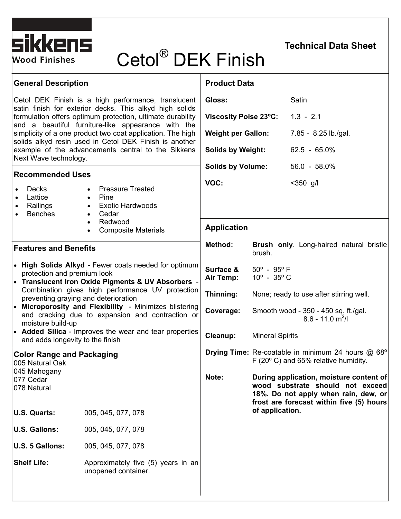

# Cetol® DEK Finish

## **Technical Data Sheet**

| <b>General Description</b>                                                                                                                                                                                                                                                                                                                                                                                                                                           |                                                                                                                                                                               | <b>Product Data</b>          |                                                                                                                                                                                      |                      |
|----------------------------------------------------------------------------------------------------------------------------------------------------------------------------------------------------------------------------------------------------------------------------------------------------------------------------------------------------------------------------------------------------------------------------------------------------------------------|-------------------------------------------------------------------------------------------------------------------------------------------------------------------------------|------------------------------|--------------------------------------------------------------------------------------------------------------------------------------------------------------------------------------|----------------------|
| Cetol DEK Finish is a high performance, translucent<br>satin finish for exterior decks. This alkyd high solids<br>formulation offers optimum protection, ultimate durability<br>and a beautiful furniture-like appearance with the<br>simplicity of a one product two coat application. The high<br>solids alkyd resin used in Cetol DEK Finish is another<br>example of the advancements central to the Sikkens                                                     |                                                                                                                                                                               | Gloss:                       |                                                                                                                                                                                      | Satin                |
|                                                                                                                                                                                                                                                                                                                                                                                                                                                                      |                                                                                                                                                                               | <b>Viscosity Poise 23°C:</b> |                                                                                                                                                                                      | $1.3 - 2.1$          |
|                                                                                                                                                                                                                                                                                                                                                                                                                                                                      |                                                                                                                                                                               | <b>Weight per Gallon:</b>    |                                                                                                                                                                                      | 7.85 - 8.25 lb./gal. |
|                                                                                                                                                                                                                                                                                                                                                                                                                                                                      |                                                                                                                                                                               | <b>Solids by Weight:</b>     |                                                                                                                                                                                      | $62.5 - 65.0\%$      |
| Next Wave technology.<br><b>Recommended Uses</b>                                                                                                                                                                                                                                                                                                                                                                                                                     |                                                                                                                                                                               | <b>Solids by Volume:</b>     |                                                                                                                                                                                      | $56.0 - 58.0\%$      |
| <b>Decks</b><br>Lattice<br>Railings<br><b>Benches</b>                                                                                                                                                                                                                                                                                                                                                                                                                | <b>Pressure Treated</b><br>$\bullet$<br>Pine<br>$\bullet$<br><b>Exotic Hardwoods</b><br>$\bullet$<br>Cedar<br>$\bullet$<br>Redwood<br><b>Composite Materials</b><br>$\bullet$ | VOC:                         |                                                                                                                                                                                      | $< 350$ g/l          |
|                                                                                                                                                                                                                                                                                                                                                                                                                                                                      |                                                                                                                                                                               | <b>Application</b>           |                                                                                                                                                                                      |                      |
| <b>Features and Benefits</b>                                                                                                                                                                                                                                                                                                                                                                                                                                         |                                                                                                                                                                               | Method:                      | Brush only. Long-haired natural bristle<br>brush.                                                                                                                                    |                      |
| • High Solids Alkyd - Fewer coats needed for optimum<br>protection and premium look<br>• Translucent Iron Oxide Pigments & UV Absorbers<br>Combination gives high performance UV protection<br>preventing graying and deterioration<br>• Microporosity and Flexibility - Minimizes blistering<br>and cracking due to expansion and contraction or<br>moisture build-up<br>• Added Silica - Improves the wear and tear properties<br>and adds longevity to the finish |                                                                                                                                                                               | Surface &<br>Air Temp:       | $50^{\circ}$ - $95^{\circ}$ F<br>$10^{\circ}$ - 35 $^{\circ}$ C<br>None; ready to use after stirring well.<br>Smooth wood - 350 - 450 sq. ft./gal.<br>$8.6 - 11.0$ m <sup>2</sup> /l |                      |
|                                                                                                                                                                                                                                                                                                                                                                                                                                                                      |                                                                                                                                                                               | Thinning:                    |                                                                                                                                                                                      |                      |
|                                                                                                                                                                                                                                                                                                                                                                                                                                                                      |                                                                                                                                                                               | Coverage:                    |                                                                                                                                                                                      |                      |
|                                                                                                                                                                                                                                                                                                                                                                                                                                                                      |                                                                                                                                                                               | Cleanup:                     | <b>Mineral Spirits</b>                                                                                                                                                               |                      |
| <b>Color Range and Packaging</b><br>005 Natural Oak                                                                                                                                                                                                                                                                                                                                                                                                                  |                                                                                                                                                                               |                              | Drying Time: Re-coatable in minimum 24 hours @ 68°<br>F $(20^{\circ}$ C) and 65% relative humidity.                                                                                  |                      |
| 045 Mahogany<br>077 Cedar<br>078 Natural                                                                                                                                                                                                                                                                                                                                                                                                                             |                                                                                                                                                                               | Note:                        | During application, moisture content of<br>wood substrate should not exceed<br>18%. Do not apply when rain, dew, or<br>frost are forecast within five (5) hours                      |                      |
| U.S. Quarts:                                                                                                                                                                                                                                                                                                                                                                                                                                                         | 005, 045, 077, 078                                                                                                                                                            |                              | of application.                                                                                                                                                                      |                      |
| <b>U.S. Gallons:</b>                                                                                                                                                                                                                                                                                                                                                                                                                                                 | 005, 045, 077, 078                                                                                                                                                            |                              |                                                                                                                                                                                      |                      |
| U.S. 5 Gallons:                                                                                                                                                                                                                                                                                                                                                                                                                                                      | 005, 045, 077, 078                                                                                                                                                            |                              |                                                                                                                                                                                      |                      |
| <b>Shelf Life:</b>                                                                                                                                                                                                                                                                                                                                                                                                                                                   | Approximately five (5) years in an<br>unopened container.                                                                                                                     |                              |                                                                                                                                                                                      |                      |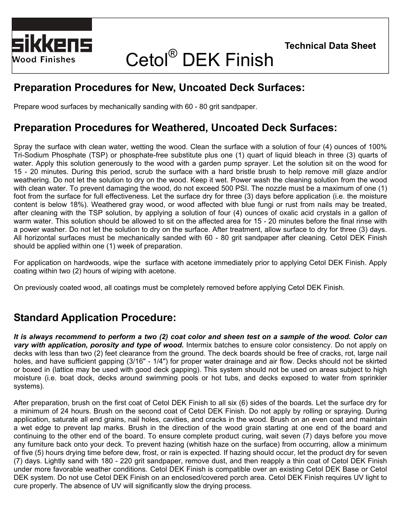

## Cetol® DEK Finish

## **Preparation Procedures for New, Uncoated Deck Surfaces:**

Prepare wood surfaces by mechanically sanding with 60 - 80 grit sandpaper.

## **Preparation Procedures for Weathered, Uncoated Deck Surfaces:**

Spray the surface with clean water, wetting the wood. Clean the surface with a solution of four (4) ounces of 100% Tri-Sodium Phosphate (TSP) or phosphate-free substitute plus one (1) quart of liquid bleach in three (3) quarts of water. Apply this solution generously to the wood with a garden pump sprayer. Let the solution sit on the wood for 15 - 20 minutes. During this period, scrub the surface with a hard bristle brush to help remove mill glaze and/or weathering. Do not let the solution to dry on the wood. Keep it wet. Power wash the cleaning solution from the wood with clean water. To prevent damaging the wood, do not exceed 500 PSI. The nozzle must be a maximum of one (1) foot from the surface for full effectiveness. Let the surface dry for three (3) days before application (i.e. the moisture content is below 18%). Weathered gray wood, or wood affected with blue fungi or rust from nails may be treated, after cleaning with the TSP solution, by applying a solution of four (4) ounces of oxalic acid crystals in a gallon of warm water. This solution should be allowed to sit on the affected area for 15 - 20 minutes before the final rinse with a power washer. Do not let the solution to dry on the surface. After treatment, allow surface to dry for three (3) days. All horizontal surfaces must be mechanically sanded with 60 - 80 grit sandpaper after cleaning. Cetol DEK Finish should be applied within one (1) week of preparation.

For application on hardwoods, wipe the surface with acetone immediately prior to applying Cetol DEK Finish. Apply coating within two (2) hours of wiping with acetone.

On previously coated wood, all coatings must be completely removed before applying Cetol DEK Finish.

## **Standard Application Procedure:**

*It is always recommend to perform a two (2) coat color and sheen test on a sample of the wood. Color can vary with application, porosity and type of wood.* Intermix batches to ensure color consistency. Do not apply on decks with less than two (2) feet clearance from the ground. The deck boards should be free of cracks, rot, large nail holes, and have sufficient gapping (3/16" - 1/4") for proper water drainage and air flow. Decks should not be skirted or boxed in (lattice may be used with good deck gapping). This system should not be used on areas subject to high moisture (i.e. boat dock, decks around swimming pools or hot tubs, and decks exposed to water from sprinkler systems).

After preparation, brush on the first coat of Cetol DEK Finish to all six (6) sides of the boards. Let the surface dry for a minimum of 24 hours. Brush on the second coat of Cetol DEK Finish. Do not apply by rolling or spraying. During application, saturate all end grains, nail holes, cavities, and cracks in the wood. Brush on an even coat and maintain a wet edge to prevent lap marks. Brush in the direction of the wood grain starting at one end of the board and continuing to the other end of the board. To ensure complete product curing, wait seven (7) days before you move any furniture back onto your deck. To prevent hazing (whitish haze on the surface) from occurring, allow a minimum of five (5) hours drying time before dew, frost, or rain is expected. If hazing should occur, let the product dry for seven (7) days. Lightly sand with 180 - 220 grit sandpaper, remove dust, and then reapply a thin coat of Cetol DEK Finish under more favorable weather conditions. Cetol DEK Finish is compatible over an existing Cetol DEK Base or Cetol DEK system. Do not use Cetol DEK Finish on an enclosed/covered porch area. Cetol DEK Finish requires UV light to cure properly. The absence of UV will significantly slow the drying process.